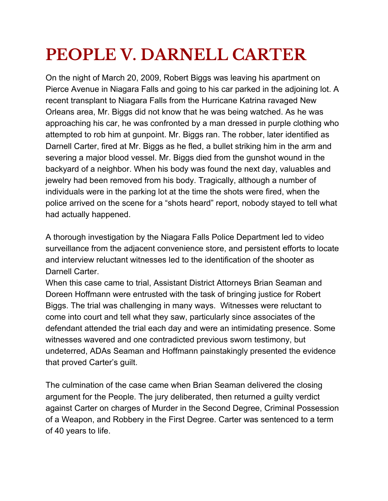# **PEOPLE V. DARNELL CARTER**

On the night of March 20, 2009, Robert Biggs was leaving his apartment on Pierce Avenue in Niagara Falls and going to his car parked in the adjoining lot. A recent transplant to Niagara Falls from the Hurricane Katrina ravaged New Orleans area, Mr. Biggs did not know that he was being watched. As he was approaching his car, he was confronted by a man dressed in purple clothing who attempted to rob him at gunpoint. Mr. Biggs ran. The robber, later identified as Darnell Carter, fired at Mr. Biggs as he fled, a bullet striking him in the arm and severing a major blood vessel. Mr. Biggs died from the gunshot wound in the backyard of a neighbor. When his body was found the next day, valuables and jewelry had been removed from his body. Tragically, although a number of individuals were in the parking lot at the time the shots were fired, when the police arrived on the scene for a "shots heard" report, nobody stayed to tell what had actually happened.

A thorough investigation by the Niagara Falls Police Department led to video surveillance from the adjacent convenience store, and persistent efforts to locate and interview reluctant witnesses led to the identification of the shooter as Darnell Carter.

When this case came to trial, Assistant District Attorneys Brian Seaman and Doreen Hoffmann were entrusted with the task of bringing justice for Robert Biggs. The trial was challenging in many ways. Witnesses were reluctant to come into court and tell what they saw, particularly since associates of the defendant attended the trial each day and were an intimidating presence. Some witnesses wavered and one contradicted previous sworn testimony, but undeterred, ADAs Seaman and Hoffmann painstakingly presented the evidence that proved Carter's guilt.

The culmination of the case came when Brian Seaman delivered the closing argument for the People. The jury deliberated, then returned a guilty verdict against Carter on charges of Murder in the Second Degree, Criminal Possession of a Weapon, and Robbery in the First Degree. Carter was sentenced to a term of 40 years to life.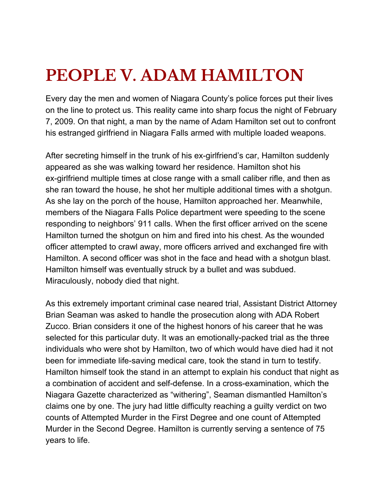# **PEOPLE V. ADAM HAMILTON**

Every day the men and women of Niagara County's police forces put their lives on the line to protect us. This reality came into sharp focus the night of February 7, 2009. On that night, a man by the name of Adam Hamilton set out to confront his estranged girlfriend in Niagara Falls armed with multiple loaded weapons.

After secreting himself in the trunk of his ex-girlfriend's car, Hamilton suddenly appeared as she was walking toward her residence. Hamilton shot his ex-girlfriend multiple times at close range with a small caliber rifle, and then as she ran toward the house, he shot her multiple additional times with a shotgun. As she lay on the porch of the house, Hamilton approached her. Meanwhile, members of the Niagara Falls Police department were speeding to the scene responding to neighbors' 911 calls. When the first officer arrived on the scene Hamilton turned the shotgun on him and fired into his chest. As the wounded officer attempted to crawl away, more officers arrived and exchanged fire with Hamilton. A second officer was shot in the face and head with a shotgun blast. Hamilton himself was eventually struck by a bullet and was subdued. Miraculously, nobody died that night.

As this extremely important criminal case neared trial, Assistant District Attorney Brian Seaman was asked to handle the prosecution along with ADA Robert Zucco. Brian considers it one of the highest honors of his career that he was selected for this particular duty. It was an emotionally-packed trial as the three individuals who were shot by Hamilton, two of which would have died had it not been for immediate life-saving medical care, took the stand in turn to testify. Hamilton himself took the stand in an attempt to explain his conduct that night as a combination of accident and self-defense. In a cross-examination, which the Niagara Gazette characterized as "withering", Seaman dismantled Hamilton's claims one by one. The jury had little difficulty reaching a guilty verdict on two counts of Attempted Murder in the First Degree and one count of Attempted Murder in the Second Degree. Hamilton is currently serving a sentence of 75 years to life.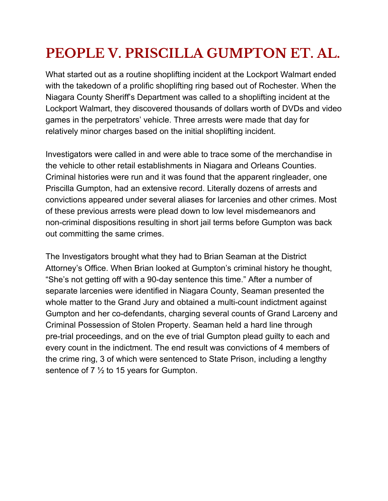### **PEOPLE V. PRISCILLA GUMPTON ET. AL.**

What started out as a routine shoplifting incident at the Lockport Walmart ended with the takedown of a prolific shoplifting ring based out of Rochester. When the Niagara County Sheriff's Department was called to a shoplifting incident at the Lockport Walmart, they discovered thousands of dollars worth of DVDs and video games in the perpetrators' vehicle. Three arrests were made that day for relatively minor charges based on the initial shoplifting incident.

Investigators were called in and were able to trace some of the merchandise in the vehicle to other retail establishments in Niagara and Orleans Counties. Criminal histories were run and it was found that the apparent ringleader, one Priscilla Gumpton, had an extensive record. Literally dozens of arrests and convictions appeared under several aliases for larcenies and other crimes. Most of these previous arrests were plead down to low level misdemeanors and non-criminal dispositions resulting in short jail terms before Gumpton was back out committing the same crimes.

The Investigators brought what they had to Brian Seaman at the District Attorney's Office. When Brian looked at Gumpton's criminal history he thought, "She's not getting off with a 90-day sentence this time." After a number of separate larcenies were identified in Niagara County, Seaman presented the whole matter to the Grand Jury and obtained a multi-count indictment against Gumpton and her co-defendants, charging several counts of Grand Larceny and Criminal Possession of Stolen Property. Seaman held a hard line through pre-trial proceedings, and on the eve of trial Gumpton plead guilty to each and every count in the indictment. The end result was convictions of 4 members of the crime ring, 3 of which were sentenced to State Prison, including a lengthy sentence of 7 ½ to 15 years for Gumpton.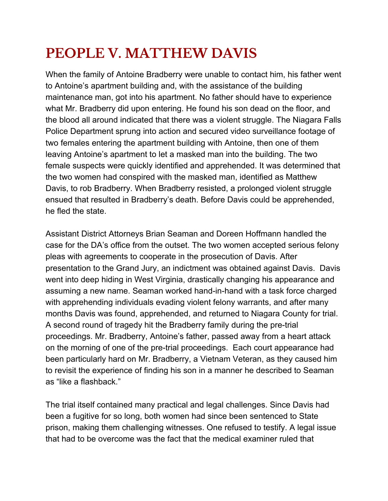### **PEOPLE V. MATTHEW DAVIS**

When the family of Antoine Bradberry were unable to contact him, his father went to Antoine's apartment building and, with the assistance of the building maintenance man, got into his apartment. No father should have to experience what Mr. Bradberry did upon entering. He found his son dead on the floor, and the blood all around indicated that there was a violent struggle. The Niagara Falls Police Department sprung into action and secured video surveillance footage of two females entering the apartment building with Antoine, then one of them leaving Antoine's apartment to let a masked man into the building. The two female suspects were quickly identified and apprehended. It was determined that the two women had conspired with the masked man, identified as Matthew Davis, to rob Bradberry. When Bradberry resisted, a prolonged violent struggle ensued that resulted in Bradberry's death. Before Davis could be apprehended, he fled the state.

Assistant District Attorneys Brian Seaman and Doreen Hoffmann handled the case for the DA's office from the outset. The two women accepted serious felony pleas with agreements to cooperate in the prosecution of Davis. After presentation to the Grand Jury, an indictment was obtained against Davis. Davis went into deep hiding in West Virginia, drastically changing his appearance and assuming a new name. Seaman worked hand-in-hand with a task force charged with apprehending individuals evading violent felony warrants, and after many months Davis was found, apprehended, and returned to Niagara County for trial. A second round of tragedy hit the Bradberry family during the pre-trial proceedings. Mr. Bradberry, Antoine's father, passed away from a heart attack on the morning of one of the pre-trial proceedings. Each court appearance had been particularly hard on Mr. Bradberry, a Vietnam Veteran, as they caused him to revisit the experience of finding his son in a manner he described to Seaman as "like a flashback."

The trial itself contained many practical and legal challenges. Since Davis had been a fugitive for so long, both women had since been sentenced to State prison, making them challenging witnesses. One refused to testify. A legal issue that had to be overcome was the fact that the medical examiner ruled that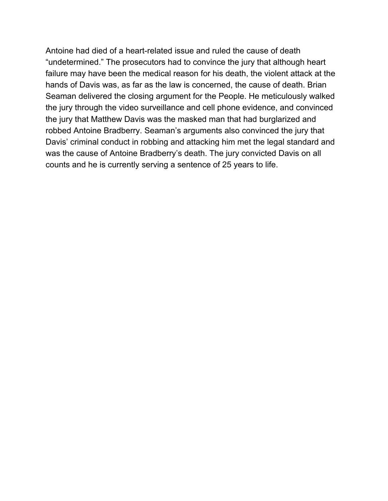Antoine had died of a heart-related issue and ruled the cause of death "undetermined." The prosecutors had to convince the jury that although heart failure may have been the medical reason for his death, the violent attack at the hands of Davis was, as far as the law is concerned, the cause of death. Brian Seaman delivered the closing argument for the People. He meticulously walked the jury through the video surveillance and cell phone evidence, and convinced the jury that Matthew Davis was the masked man that had burglarized and robbed Antoine Bradberry. Seaman's arguments also convinced the jury that Davis' criminal conduct in robbing and attacking him met the legal standard and was the cause of Antoine Bradberry's death. The jury convicted Davis on all counts and he is currently serving a sentence of 25 years to life.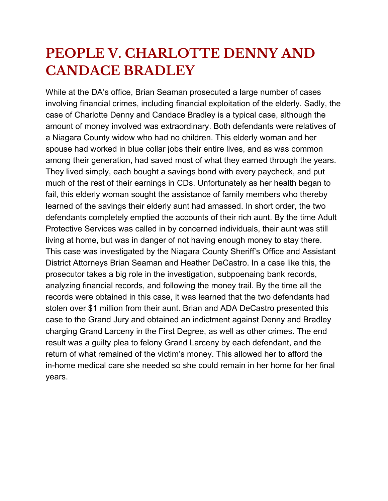#### **PEOPLE V. CHARLOTTE DENNY AND CANDACE BRADLEY**

While at the DA's office, Brian Seaman prosecuted a large number of cases involving financial crimes, including financial exploitation of the elderly. Sadly, the case of Charlotte Denny and Candace Bradley is a typical case, although the amount of money involved was extraordinary. Both defendants were relatives of a Niagara County widow who had no children. This elderly woman and her spouse had worked in blue collar jobs their entire lives, and as was common among their generation, had saved most of what they earned through the years. They lived simply, each bought a savings bond with every paycheck, and put much of the rest of their earnings in CDs. Unfortunately as her health began to fail, this elderly woman sought the assistance of family members who thereby learned of the savings their elderly aunt had amassed. In short order, the two defendants completely emptied the accounts of their rich aunt. By the time Adult Protective Services was called in by concerned individuals, their aunt was still living at home, but was in danger of not having enough money to stay there. This case was investigated by the Niagara County Sheriff's Office and Assistant District Attorneys Brian Seaman and Heather DeCastro. In a case like this, the prosecutor takes a big role in the investigation, subpoenaing bank records, analyzing financial records, and following the money trail. By the time all the records were obtained in this case, it was learned that the two defendants had stolen over \$1 million from their aunt. Brian and ADA DeCastro presented this case to the Grand Jury and obtained an indictment against Denny and Bradley charging Grand Larceny in the First Degree, as well as other crimes. The end result was a guilty plea to felony Grand Larceny by each defendant, and the return of what remained of the victim's money. This allowed her to afford the in-home medical care she needed so she could remain in her home for her final years.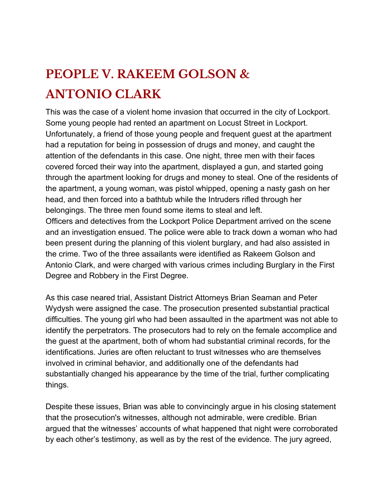### **PEOPLE V. RAKEEM GOLSON & ANTONIO CLARK**

This was the case of a violent home invasion that occurred in the city of Lockport. Some young people had rented an apartment on Locust Street in Lockport. Unfortunately, a friend of those young people and frequent guest at the apartment had a reputation for being in possession of drugs and money, and caught the attention of the defendants in this case. One night, three men with their faces covered forced their way into the apartment, displayed a gun, and started going through the apartment looking for drugs and money to steal. One of the residents of the apartment, a young woman, was pistol whipped, opening a nasty gash on her head, and then forced into a bathtub while the Intruders rifled through her belongings. The three men found some items to steal and left. Officers and detectives from the Lockport Police Department arrived on the scene and an investigation ensued. The police were able to track down a woman who had been present during the planning of this violent burglary, and had also assisted in the crime. Two of the three assailants were identified as Rakeem Golson and Antonio Clark, and were charged with various crimes including Burglary in the First Degree and Robbery in the First Degree.

As this case neared trial, Assistant District Attorneys Brian Seaman and Peter Wydysh were assigned the case. The prosecution presented substantial practical difficulties. The young girl who had been assaulted in the apartment was not able to identify the perpetrators. The prosecutors had to rely on the female accomplice and the guest at the apartment, both of whom had substantial criminal records, for the identifications. Juries are often reluctant to trust witnesses who are themselves involved in criminal behavior, and additionally one of the defendants had substantially changed his appearance by the time of the trial, further complicating things.

Despite these issues, Brian was able to convincingly argue in his closing statement that the prosecution's witnesses, although not admirable, were credible. Brian argued that the witnesses' accounts of what happened that night were corroborated by each other's testimony, as well as by the rest of the evidence. The jury agreed,